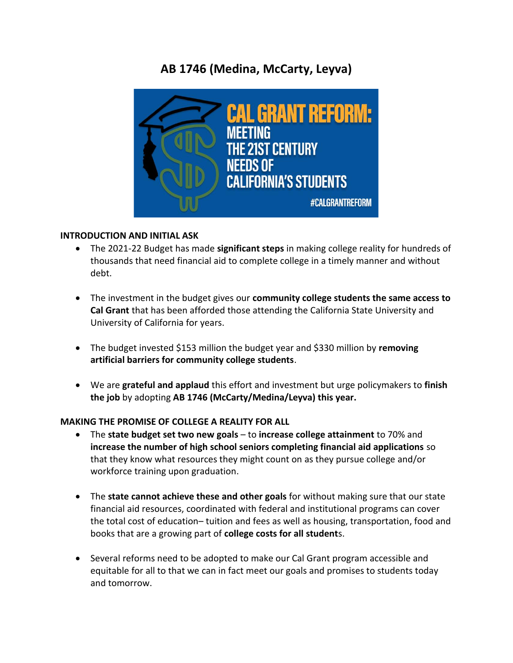# **AB 1746 (Medina, McCarty, Leyva)**



#### **INTRODUCTION AND INITIAL ASK**

- The 2021-22 Budget has made **significant steps** in making college reality for hundreds of thousands that need financial aid to complete college in a timely manner and without debt.
- The investment in the budget gives our **community college students the same access to Cal Grant** that has been afforded those attending the California State University and University of California for years.
- The budget invested \$153 million the budget year and \$330 million by **removing artificial barriers for community college students**.
- We are **grateful and applaud** this effort and investment but urge policymakers to **finish the job** by adopting **AB 1746 (McCarty/Medina/Leyva) this year.**

#### **MAKING THE PROMISE OF COLLEGE A REALITY FOR ALL**

- The **state budget set two new goals**  to **increase college attainment** to 70% and **increase the number of high school seniors completing financial aid applications** so that they know what resources they might count on as they pursue college and/or workforce training upon graduation.
- The **state cannot achieve these and other goals** for without making sure that our state financial aid resources, coordinated with federal and institutional programs can cover the total cost of education– tuition and fees as well as housing, transportation, food and books that are a growing part of **college costs for all student**s.
- Several reforms need to be adopted to make our Cal Grant program accessible and equitable for all to that we can in fact meet our goals and promises to students today and tomorrow.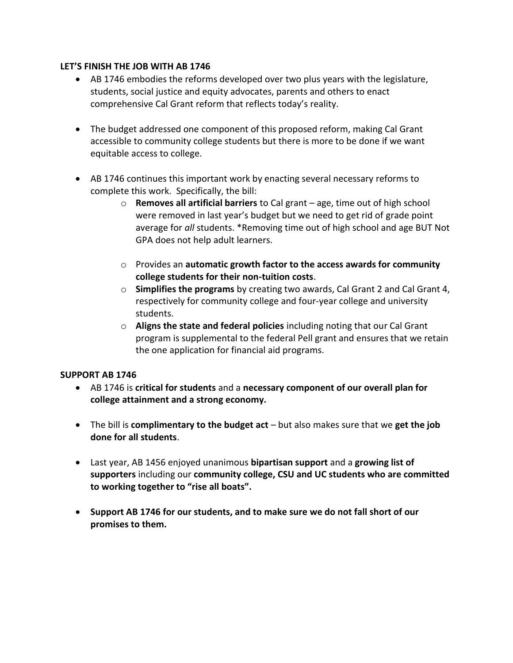#### **LET'S FINISH THE JOB WITH AB 1746**

- AB 1746 embodies the reforms developed over two plus years with the legislature, students, social justice and equity advocates, parents and others to enact comprehensive Cal Grant reform that reflects today's reality.
- The budget addressed one component of this proposed reform, making Cal Grant accessible to community college students but there is more to be done if we want equitable access to college.
- AB 1746 continues this important work by enacting several necessary reforms to complete this work. Specifically, the bill:
	- o **Removes all artificial barriers** to Cal grant age, time out of high school were removed in last year's budget but we need to get rid of grade point average for *all* students. \*Removing time out of high school and age BUT Not GPA does not help adult learners.
	- o Provides an **automatic growth factor to the access awards for community college students for their non-tuition costs**.
	- o **Simplifies the programs** by creating two awards, Cal Grant 2 and Cal Grant 4, respectively for community college and four-year college and university students.
	- o **Aligns the state and federal policies** including noting that our Cal Grant program is supplemental to the federal Pell grant and ensures that we retain the one application for financial aid programs.

#### **SUPPORT AB 1746**

- AB 1746 is **critical for students** and a **necessary component of our overall plan for college attainment and a strong economy.**
- The bill is **complimentary to the budget act**  but also makes sure that we **get the job done for all students**.
- Last year, AB 1456 enjoyed unanimous **bipartisan support** and a **growing list of supporters** including our **community college, CSU and UC students who are committed to working together to "rise all boats".**
- **Support AB 1746 for our students, and to make sure we do not fall short of our promises to them.**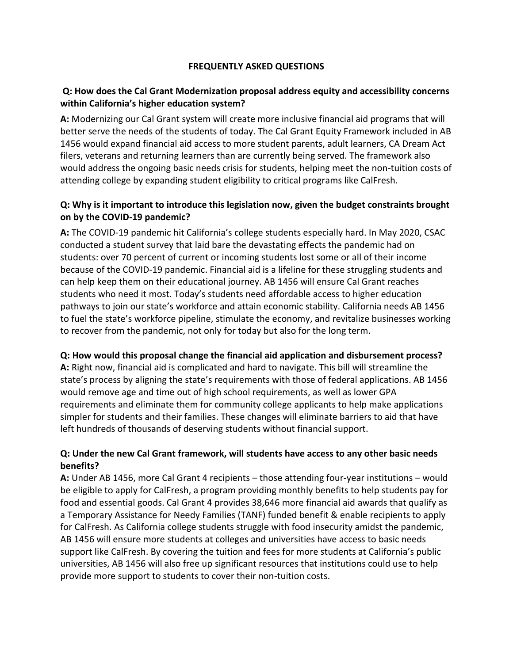#### **FREQUENTLY ASKED QUESTIONS**

### **Q: How does the Cal Grant Modernization proposal address equity and accessibility concerns within California's higher education system?**

**A:** Modernizing our Cal Grant system will create more inclusive financial aid programs that will better serve the needs of the students of today. The Cal Grant Equity Framework included in AB 1456 would expand financial aid access to more student parents, adult learners, CA Dream Act filers, veterans and returning learners than are currently being served. The framework also would address the ongoing basic needs crisis for students, helping meet the non-tuition costs of attending college by expanding student eligibility to critical programs like CalFresh.

### **Q: Why is it important to introduce this legislation now, given the budget constraints brought on by the COVID-19 pandemic?**

**A:** The COVID-19 pandemic hit California's college students especially hard. In May 2020, CSAC conducted a student survey that laid bare the devastating effects the pandemic had on students: over 70 percent of current or incoming students lost some or all of their income because of the COVID-19 pandemic. Financial aid is a lifeline for these struggling students and can help keep them on their educational journey. AB 1456 will ensure Cal Grant reaches students who need it most. Today's students need affordable access to higher education pathways to join our state's workforce and attain economic stability. California needs AB 1456 to fuel the state's workforce pipeline, stimulate the economy, and revitalize businesses working to recover from the pandemic, not only for today but also for the long term.

#### **Q: How would this proposal change the financial aid application and disbursement process?**

**A:** Right now, financial aid is complicated and hard to navigate. This bill will streamline the state's process by aligning the state's requirements with those of federal applications. AB 1456 would remove age and time out of high school requirements, as well as lower GPA requirements and eliminate them for community college applicants to help make applications simpler for students and their families. These changes will eliminate barriers to aid that have left hundreds of thousands of deserving students without financial support.

#### **Q: Under the new Cal Grant framework, will students have access to any other basic needs benefits?**

**A:** Under AB 1456, more Cal Grant 4 recipients – those attending four-year institutions – would be eligible to apply for CalFresh, a program providing monthly benefits to help students pay for food and essential goods. Cal Grant 4 provides 38,646 more financial aid awards that qualify as a Temporary Assistance for Needy Families (TANF) funded benefit & enable recipients to apply for CalFresh. As California college students struggle with food insecurity amidst the pandemic, AB 1456 will ensure more students at colleges and universities have access to basic needs support like CalFresh. By covering the tuition and fees for more students at California's public universities, AB 1456 will also free up significant resources that institutions could use to help provide more support to students to cover their non-tuition costs.